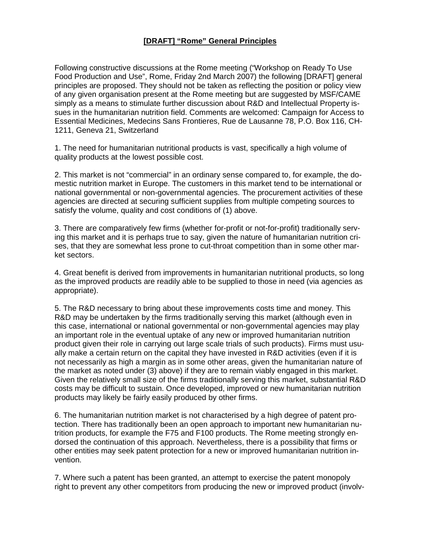## **[DRAFT] "Rome" General Principles**

Following constructive discussions at the Rome meeting ("Workshop on Ready To Use Food Production and Use", Rome, Friday 2nd March 2007) the following [DRAFT] general principles are proposed. They should not be taken as reflecting the position or policy view of any given organisation present at the Rome meeting but are suggested by MSF/CAME simply as a means to stimulate further discussion about R&D and Intellectual Property issues in the humanitarian nutrition field. Comments are welcomed: Campaign for Access to Essential Medicines, Medecins Sans Frontieres, Rue de Lausanne 78, P.O. Box 116, CH-1211, Geneva 21, Switzerland

1. The need for humanitarian nutritional products is vast, specifically a high volume of quality products at the lowest possible cost.

2. This market is not "commercial" in an ordinary sense compared to, for example, the domestic nutrition market in Europe. The customers in this market tend to be international or national governmental or non-governmental agencies. The procurement activities of these agencies are directed at securing sufficient supplies from multiple competing sources to satisfy the volume, quality and cost conditions of (1) above.

3. There are comparatively few firms (whether for-profit or not-for-profit) traditionally serving this market and it is perhaps true to say, given the nature of humanitarian nutrition crises, that they are somewhat less prone to cut-throat competition than in some other market sectors.

4. Great benefit is derived from improvements in humanitarian nutritional products, so long as the improved products are readily able to be supplied to those in need (via agencies as appropriate).

5. The R&D necessary to bring about these improvements costs time and money. This R&D may be undertaken by the firms traditionally serving this market (although even in this case, international or national governmental or non-governmental agencies may play an important role in the eventual uptake of any new or improved humanitarian nutrition product given their role in carrying out large scale trials of such products). Firms must usually make a certain return on the capital they have invested in R&D activities (even if it is not necessarily as high a margin as in some other areas, given the humanitarian nature of the market as noted under (3) above) if they are to remain viably engaged in this market. Given the relatively small size of the firms traditionally serving this market, substantial R&D costs may be difficult to sustain. Once developed, improved or new humanitarian nutrition products may likely be fairly easily produced by other firms.

6. The humanitarian nutrition market is not characterised by a high degree of patent protection. There has traditionally been an open approach to important new humanitarian nutrition products, for example the F75 and F100 products. The Rome meeting strongly endorsed the continuation of this approach. Nevertheless, there is a possibility that firms or other entities may seek patent protection for a new or improved humanitarian nutrition invention.

7. Where such a patent has been granted, an attempt to exercise the patent monopoly right to prevent any other competitors from producing the new or improved product (involv-